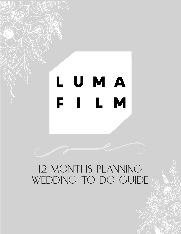# L U M A FILM

# 12 MONTHS PLANNING WEDDING TO DO GUIDE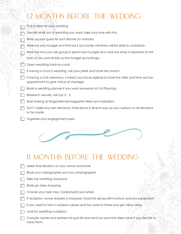| Pick a date for your wedding                                                                                                         |
|--------------------------------------------------------------------------------------------------------------------------------------|
| Decide what sort of wedding you want; take your time with this.                                                                      |
| Write up your guest list and decide on numbers                                                                                       |
| Work out your budget and find out if any family members will be able to contribute.                                                  |
| Work out how you are going to spend your budget and work out what is important to the                                                |
| both of you and divide up the budget accordingly.                                                                                    |
| Open wedding bank Account                                                                                                            |
| If having a church wedding, visit your priest and book the church                                                                    |
| If having a civil ceremony, contact your local registrar to book the date and time and an<br>appointment to give notice of marriage. |
| Book a wedding planner if you want someone for Full Planning                                                                         |
| Research venues, visit top 3 - 5                                                                                                     |
| Start looking at biogs/internet/magazine ideas and inspiration                                                                       |
| Don't make any rash decisions, think about it all and way up your options on all decisions<br>to be made                             |
| Organise your engagement party                                                                                                       |



#### 11 MONTHS BEFORE THE WEDDING

- Make final decision on your venue and book
- Book your videographer and your photographer
- Take out wedding insurance
- Bride go dress shopping
- Choose your best man, bridesmaids and ushers
- If reception venue requires a marquee, book this along with furniture and any equipment
- If you need to hire in outdoor caterer and bar, look for these and get menu ideas
- Look for wedding invitations  $\blacksquare$

Compile names and address for gust list and send out save the date cards if you decide to have them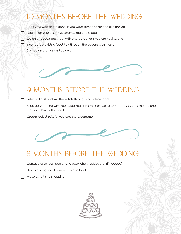- Book your wedding planner if you want someone for partial planning
- Decide on your band/DJ/entertainment and book
- Go on engagement shoot with photographer if you are having one N
	- If venue is providing food, talk through the options with them.
	- Decide on themes and colours



#### 9 MONTHS BEFORE THE WEDDING

- Select a florist and visit them, talk through your ideas, book.
- Bride go shopping with your bridesmaids for their dresses and if necessary your mother and mother in law for their outfits.
- Groom look at suits for you and the groomsme



#### 8 MONTHS BEFORE THE WEDDING

- Contact rental companies and book chairs, tables etc. (if needed)
	- Start planning your honeymoon and book
	- Make a start ring shopping

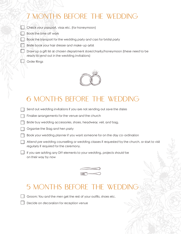Check your passport, visas etc. (for honeymoon)

- **Book the time off work**
- $\Box$  Book the transport for the wedding party and cars for bridal party
	- Bride book your hair dresser and make-up artist
	- Draw up a gift list at chosen department store/charity/honeymoon (these need to be ready to send out in the wedding invitations)
- **Sandbridge** Creater Rings



#### 6 MONTHS BEFORE THE WEDDING

- Send out wedding invitations if you are not sending out save the dates
- Finalise arrangements for the venue and the church
- Bride buy wedding accessories, shoes, headwear, veil, and bag.
- Organise the Stag and hen party
- Book your wedding planner if you want someone for on the day co-ordination
- Attend pre wedding counselling or wedding classes if requested by the church, or start to visit regularly if required for the ceremony.
- $\Box$  If you are adding any DIY elements to your wedding, projects should be on their way by now



#### 5 MONTHS BEFORE THE WEDDING

Groom; You and the men get the rest of your outfits, shoes etc.

Decide on decoration for reception venue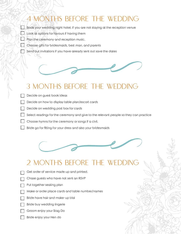Book your wedding night hotel, if you are not staying at the reception venue

- Look at options for favours if having them
- Plan the ceremony and reception music.
	- Choose gifts for bridesmaids, best man, and parents
	- Send out invitations if you have already sent out save the dates



#### 3 MONTHS BEFORE THE WEDDING

- Decide on guest book ideas
- Decide on how to display table plan/escort cards
- Decide on wedding post box for cards
- $\Box$  Select readings for the ceremony and give to the relevant people so they can practice
- $\Box$  Choose hymns for the ceremony or songs if a civil.
- Bride go for fitting for your dress and also your bridesmaids



#### 2 MONTHS BEFORE THE WEDDING

- Get order of service made up and printed.
- Chase guests who have not sent an RSVP
- Put together seating plan
- Make or order place cards and table number/names
- Bride have hair and make-up trial
- Bride buy wedding lingerie
- Groom enjoy your Stag Do
- Bride enjoy your Hen do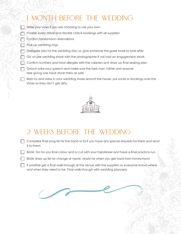Write your vows if you are choosing to use your own

Finalise every detail and double check bookings with all suppliers

Confirm honeymoon reservations

- Pick up wedding rings
- Delegate jobs for the wedding day i.e. give someone the guest book to look after
- Go on pre wedding shoot with the photographer If not had an engagement shoot.
- Confirm numbers and food allergies with the caterers and draw up final seating plan

Groom write your speech and make sure the best man, father and anyone else giving one have done theirs as well.

Both try and wear in your wedding shoes around the house, put socks or stockings over the shoes so they don't get dirty.



#### 2 WEEKS BEFORE THE WEDDING

Complete final song list for the band or DJ if you have any special requests for them and send it to them.

Bride; Go for you final colour and or cut with your hairdresser and have a final practice run.

Bride draw up list for change of name, ready for when you get back from honeymoon

If possible get a final walk through at the venue with the suppliers so everyone knows where and when they need to be. Final walk through with wedding plannera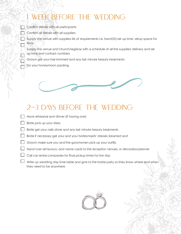# WEEK BEFORE THE WEDDING

 $\Box$  Confirm details with all participants

Confirm all details with all suppliers

Supply the venue with suppliers list of requirements i.e. band/DJ set up time, setup space for florist

Supply the venue and church/registrar with a schedule of all the suppliers delivery and set up time and contact numbers

Groom get your hair trimmed and any last minute beauty treatments

Do your honeymoon packing

П



#### 2-3 DAYS BEFORE THE WEDDING

- Have rehearsal and dinner (if having one)
- Bride pick up your dress
- Bride get your nails done and any last minute beauty treatments
- Bride if necessary get your and your bridesmaids' dresses steamed and
- Groom make sure you and the groomsmen pick up your outfits
- $\Box$  Hand over all favours, and name cards to the reception venues, or decorator/planner
- Call car rental companies for final pickup times for the day
- Write up wedding day time table and give to the bridal party so they know where and when they need to be anywhere